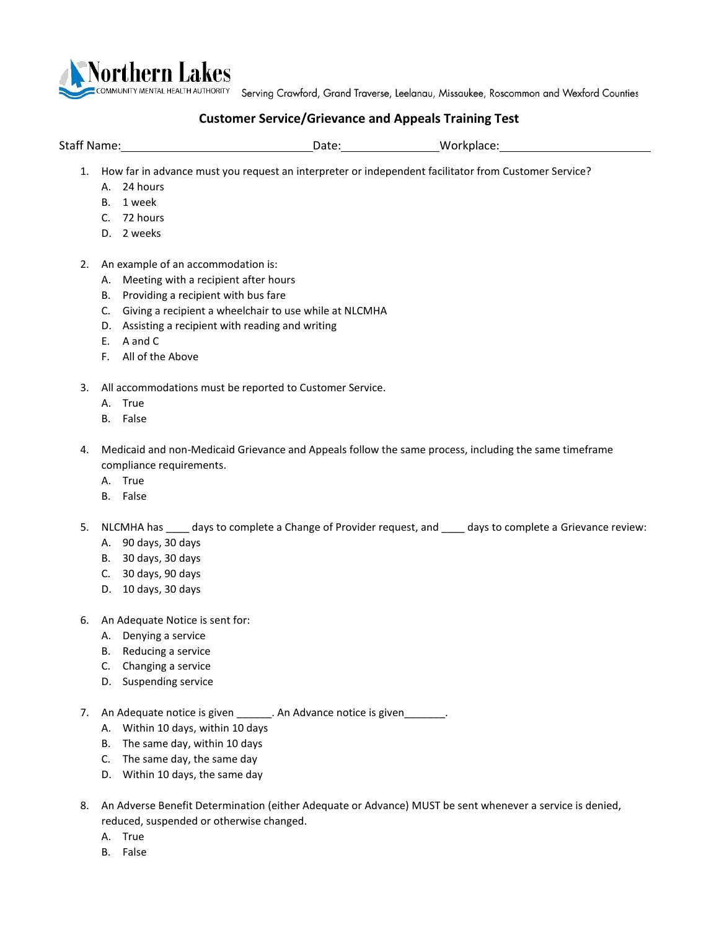

COMMUNITY MENTAL HEALTH AUTHORITY Serving Crawford, Grand Traverse, Leelanau, Missaukee, Roscommon and Wexford Counties

## **Customer Service/Grievance and Appeals Training Test**

Staff Name: Note: Note: Note: Note: Note: Note: Note: Note: Note: Note: Note: Note: Note: Note: Note: Note: Note: Note: Note: Note: Note: Note: Note: Note: Note: Note: Note: Note: Note: Note: Note: Note: Note: Note: Note:

- 1. How far in advance must you request an interpreter or independent facilitator from Customer Service?
	- A. 24 hours
	- B. 1 week
	- C. 72 hours
	- D. 2 weeks
- 2. An example of an accommodation is:
	- A. Meeting with a recipient after hours
	- B. Providing a recipient with bus fare
	- C. Giving a recipient a wheelchair to use while at NLCMHA
	- D. Assisting a recipient with reading and writing
	- E. A and C
	- F. All of the Above
- 3. All accommodations must be reported to Customer Service.
	- A. True
	- B. False
- 4. Medicaid and non-Medicaid Grievance and Appeals follow the same process, including the same timeframe compliance requirements.
	- A. True
	- B. False
- 5. NLCMHA has \_\_\_\_ days to complete a Change of Provider request, and \_\_\_\_ days to complete a Grievance review:
	- A. 90 days, 30 days
	- B. 30 days, 30 days
	- C. 30 days, 90 days
	- D. 10 days, 30 days
- 6. An Adequate Notice is sent for:
	- A. Denying a service
	- B. Reducing a service
	- C. Changing a service
	- D. Suspending service
- 7. An Adequate notice is given \_\_\_\_\_\_\_. An Advance notice is given \_\_\_\_\_\_\_.
	- A. Within 10 days, within 10 days
	- B. The same day, within 10 days
	- C. The same day, the same day
	- D. Within 10 days, the same day
- 8. An Adverse Benefit Determination (either Adequate or Advance) MUST be sent whenever a service is denied, reduced, suspended or otherwise changed.
	- A. True
	- B. False